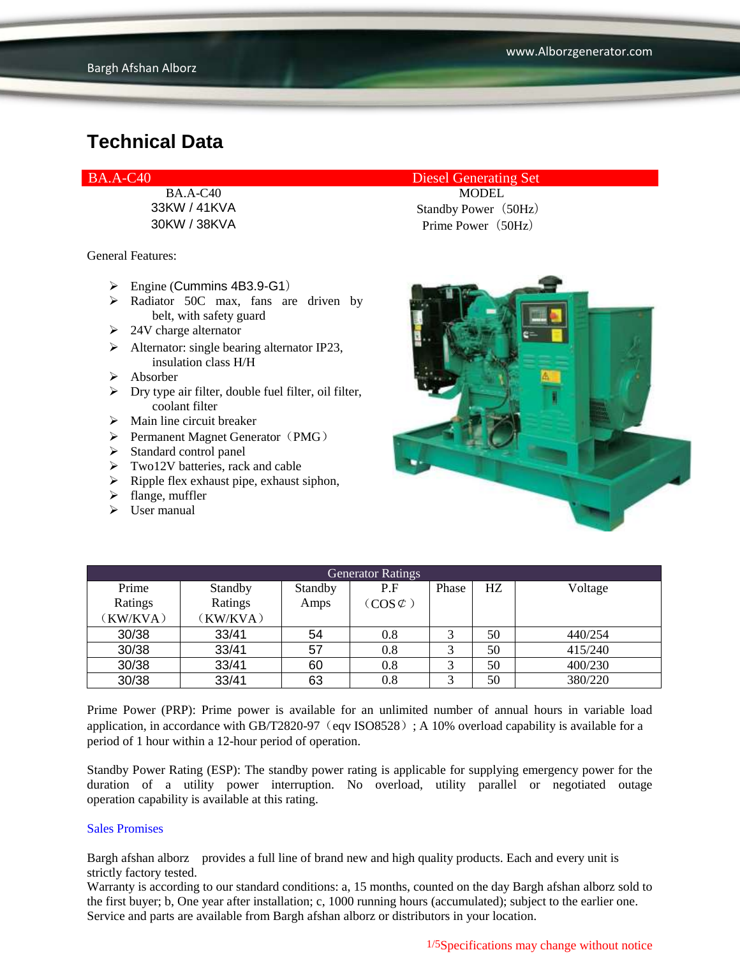General Features:

- $\triangleright$  Engine (Cummins 4B3.9-G1)
- > Radiator 50C max, fans are driven by belt, with safety guard
- $\geq 24V$  charge alternator
- $\triangleright$  Alternator: single bearing alternator IP23, insulation class H/H
- Absorber
- $\triangleright$  Dry type air filter, double fuel filter, oil filter, coolant filter
- $\triangleright$  Main line circuit breaker
- $\triangleright$  Permanent Magnet Generator (PMG)
- $\triangleright$  Standard control panel
- $\triangleright$  Two12V batteries, rack and cable
- $\triangleright$  Ripple flex exhaust pipe, exhaust siphon,
- $\blacktriangleright$  flange, muffler
- $\triangleright$  User manual

#### BA.A-C40 Diesel Generating Set

BA.A-C40 MODEL 33KW / 41KVA Standby Power(50Hz) 30KW / 38KVA Prime Power(50Hz)



| <b>Generator Ratings</b> |          |         |                     |       |    |         |
|--------------------------|----------|---------|---------------------|-------|----|---------|
| Prime                    | Standby  | Standby | P.F                 | Phase | HZ | Voltage |
| Ratings                  | Ratings  | Amps    | $(COS \mathcal{C})$ |       |    |         |
| (KW/KVA)                 | (KW/KVA) |         |                     |       |    |         |
| 30/38                    | 33/41    | 54      | 0.8                 | 3     | 50 | 440/254 |
| 30/38                    | 33/41    | 57      | 0.8                 |       | 50 | 415/240 |
| 30/38                    | 33/41    | 60      | 0.8                 | 3     | 50 | 400/230 |
| 30/38                    | 33/41    | 63      | 0.8                 |       | 50 | 380/220 |

Prime Power (PRP): Prime power is available for an unlimited number of annual hours in variable load application, in accordance with GB/T2820-97 (eqv ISO8528); A 10% overload capability is available for a period of 1 hour within a 12-hour period of operation.

Standby Power Rating (ESP): The standby power rating is applicable for supplying emergency power for the duration of a utility power interruption. No overload, utility parallel or negotiated outage operation capability is available at this rating.

#### Sales Promises

Bargh afshan alborz provides a full line of brand new and high quality products. Each and every unit is strictly factory tested.

Warranty is according to our standard conditions: a, 15 months, counted on the day Bargh afshan alborz sold to the first buyer; b, One year after installation; c, 1000 running hours (accumulated); subject to the earlier one. Service and parts are available from Bargh afshan alborz or distributors in your location.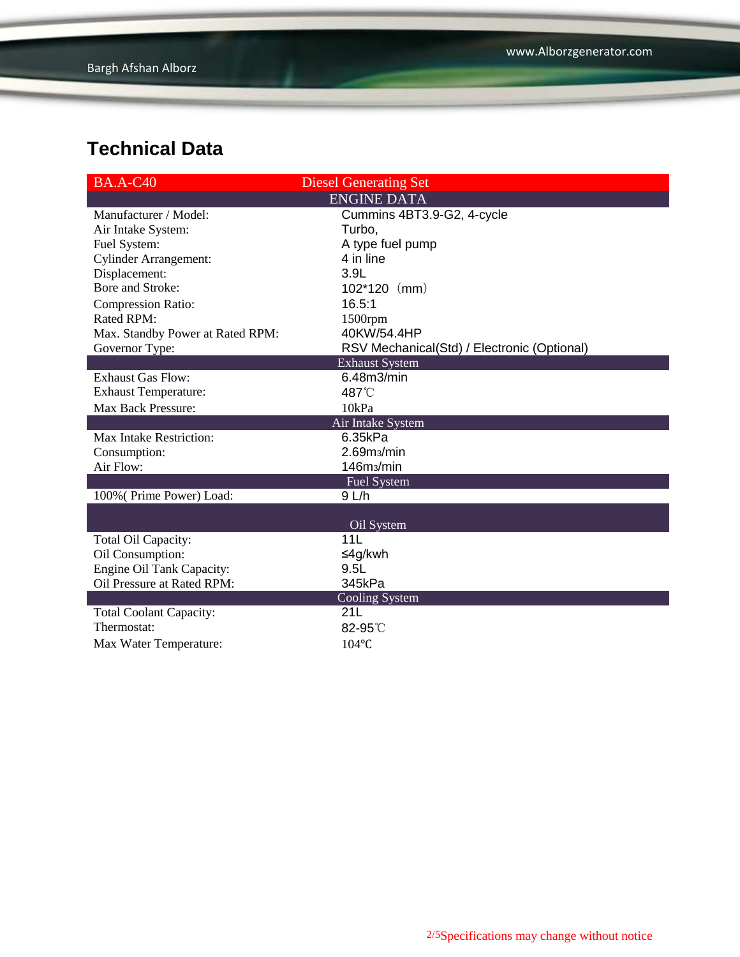| <b>BA.A-C40</b>                  | <b>Diesel Generating Set</b>                |  |  |  |
|----------------------------------|---------------------------------------------|--|--|--|
| <b>ENGINE DATA</b>               |                                             |  |  |  |
| Manufacturer / Model:            | Cummins 4BT3.9-G2, 4-cycle                  |  |  |  |
| Air Intake System:               | Turbo,                                      |  |  |  |
| Fuel System:                     | A type fuel pump                            |  |  |  |
| <b>Cylinder Arrangement:</b>     | 4 in line                                   |  |  |  |
| Displacement:                    | 3.9L                                        |  |  |  |
| Bore and Stroke:                 | $102*120$ (mm)                              |  |  |  |
| <b>Compression Ratio:</b>        | 16.5:1                                      |  |  |  |
| <b>Rated RPM:</b>                | 1500rpm                                     |  |  |  |
| Max. Standby Power at Rated RPM: | 40KW/54.4HP                                 |  |  |  |
| Governor Type:                   | RSV Mechanical(Std) / Electronic (Optional) |  |  |  |
| <b>Exhaust System</b>            |                                             |  |  |  |
| <b>Exhaust Gas Flow:</b>         | 6.48m3/min                                  |  |  |  |
| <b>Exhaust Temperature:</b>      | 487°C                                       |  |  |  |
| Max Back Pressure:               | 10kPa                                       |  |  |  |
| Air Intake System                |                                             |  |  |  |
| Max Intake Restriction:          | 6.35kPa                                     |  |  |  |
| Consumption:                     | 2.69 <sub>ms</sub> /min                     |  |  |  |
| Air Flow:                        | 146m <sub>3</sub> /min                      |  |  |  |
|                                  | <b>Fuel System</b>                          |  |  |  |
| 100% (Prime Power) Load:         | 9 L/h                                       |  |  |  |
|                                  |                                             |  |  |  |
|                                  | Oil System                                  |  |  |  |
| Total Oil Capacity:              | 11 <sub>L</sub>                             |  |  |  |
| Oil Consumption:                 | ≤4g/kwh                                     |  |  |  |
| Engine Oil Tank Capacity:        | 9.5L                                        |  |  |  |
| Oil Pressure at Rated RPM:       | 345kPa                                      |  |  |  |
|                                  | <b>Cooling System</b>                       |  |  |  |
| <b>Total Coolant Capacity:</b>   | 21L                                         |  |  |  |
| Thermostat:                      | 82-95°C                                     |  |  |  |
| Max Water Temperature:           | 104°C                                       |  |  |  |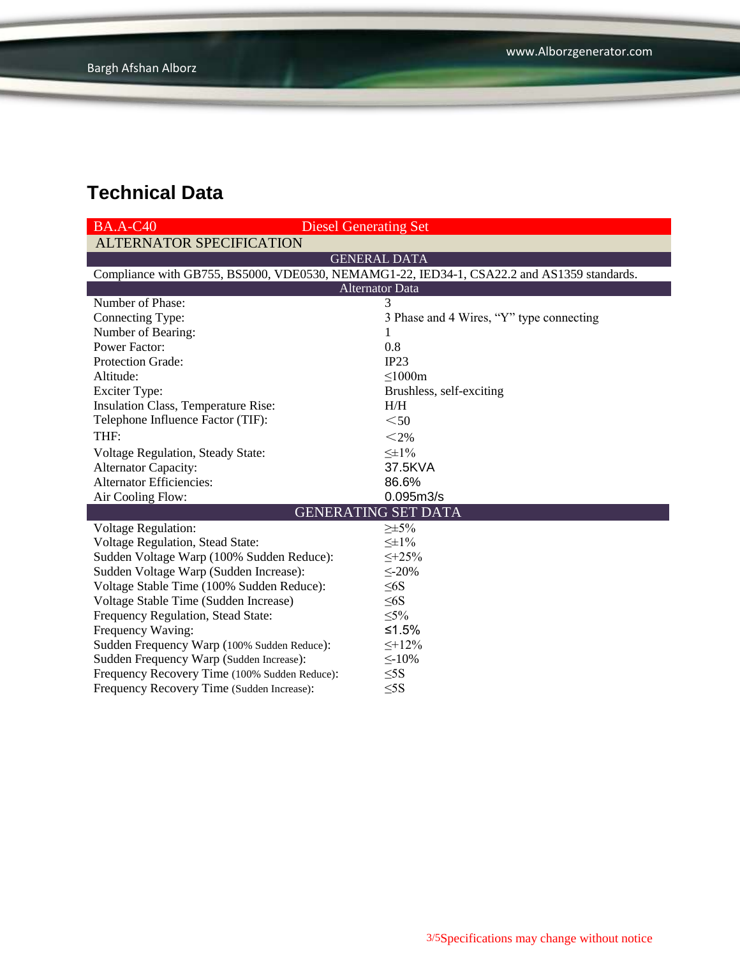| <b>BA.A-C40</b><br><b>Diesel Generating Set</b>                                            |                                          |  |  |  |  |  |
|--------------------------------------------------------------------------------------------|------------------------------------------|--|--|--|--|--|
| <b>ALTERNATOR SPECIFICATION</b>                                                            |                                          |  |  |  |  |  |
| <b>GENERAL DATA</b>                                                                        |                                          |  |  |  |  |  |
| Compliance with GB755, BS5000, VDE0530, NEMAMG1-22, IED34-1, CSA22.2 and AS1359 standards. |                                          |  |  |  |  |  |
| <b>Alternator Data</b>                                                                     |                                          |  |  |  |  |  |
| Number of Phase:                                                                           | 3                                        |  |  |  |  |  |
| Connecting Type:                                                                           | 3 Phase and 4 Wires, "Y" type connecting |  |  |  |  |  |
| Number of Bearing:                                                                         | 1                                        |  |  |  |  |  |
| <b>Power Factor:</b>                                                                       | 0.8                                      |  |  |  |  |  |
| Protection Grade:                                                                          | IP23                                     |  |  |  |  |  |
| Altitude:                                                                                  | $\leq$ 1000m                             |  |  |  |  |  |
| <b>Exciter Type:</b>                                                                       | Brushless, self-exciting                 |  |  |  |  |  |
| Insulation Class, Temperature Rise:                                                        | H/H                                      |  |  |  |  |  |
| Telephone Influence Factor (TIF):                                                          | $50$                                     |  |  |  |  |  |
| THF:                                                                                       | $<$ 2%                                   |  |  |  |  |  |
| Voltage Regulation, Steady State:                                                          | $\leq \pm 1\%$                           |  |  |  |  |  |
| <b>Alternator Capacity:</b>                                                                | 37.5KVA                                  |  |  |  |  |  |
| <b>Alternator Efficiencies:</b>                                                            | 86.6%                                    |  |  |  |  |  |
| Air Cooling Flow:                                                                          | 0.095m3/s                                |  |  |  |  |  |
|                                                                                            | <b>GENERATING SET DATA</b>               |  |  |  |  |  |
| <b>Voltage Regulation:</b>                                                                 | $\geq \pm 5\%$                           |  |  |  |  |  |
| <b>Voltage Regulation, Stead State:</b>                                                    | $\leq \pm 1\%$                           |  |  |  |  |  |
| Sudden Voltage Warp (100% Sudden Reduce):                                                  | $\leq +25\%$                             |  |  |  |  |  |
| Sudden Voltage Warp (Sudden Increase):                                                     | $\leq 20\%$                              |  |  |  |  |  |
| Voltage Stable Time (100% Sudden Reduce):                                                  | $\leq 6S$                                |  |  |  |  |  |
| Voltage Stable Time (Sudden Increase)                                                      | $\leq 6S$                                |  |  |  |  |  |
| Frequency Regulation, Stead State:                                                         | $\leq 5\%$                               |  |  |  |  |  |
| Frequency Waving:                                                                          | ≤1.5%                                    |  |  |  |  |  |
| Sudden Frequency Warp (100% Sudden Reduce):                                                | $\leq +12\%$                             |  |  |  |  |  |
| Sudden Frequency Warp (Sudden Increase):                                                   | $\leq$ -10%                              |  |  |  |  |  |
| Frequency Recovery Time (100% Sudden Reduce):                                              | $\leq$ 5S                                |  |  |  |  |  |
| Frequency Recovery Time (Sudden Increase):                                                 | $\leq$ 5S                                |  |  |  |  |  |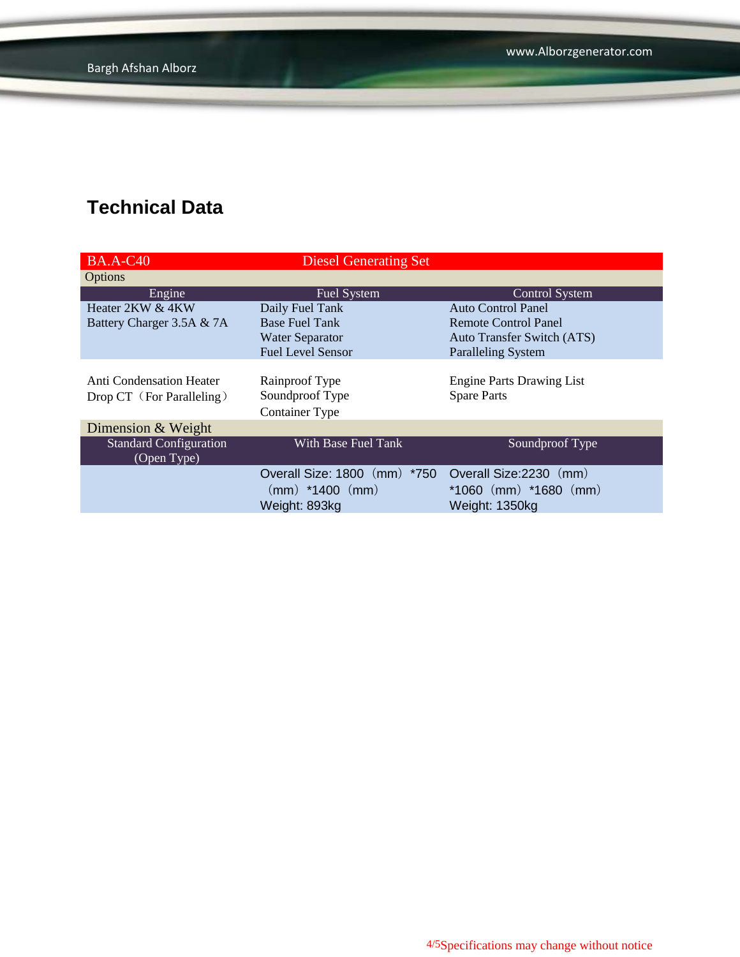www.Alborzgenerator.com

# **Technical Data**

| <b>BA.A-C40</b>                                              | <b>Diesel Generating Set</b>                               |                                                        |  |
|--------------------------------------------------------------|------------------------------------------------------------|--------------------------------------------------------|--|
| Options                                                      |                                                            |                                                        |  |
| Engine                                                       | <b>Fuel System</b>                                         | <b>Control System</b>                                  |  |
| Heater 2KW & 4KW                                             | Daily Fuel Tank                                            | <b>Auto Control Panel</b>                              |  |
| Battery Charger 3.5A & 7A                                    | <b>Base Fuel Tank</b>                                      | Remote Control Panel                                   |  |
|                                                              | <b>Water Separator</b>                                     | <b>Auto Transfer Switch (ATS)</b>                      |  |
|                                                              | <b>Fuel Level Sensor</b>                                   | <b>Paralleling System</b>                              |  |
| <b>Anti Condensation Heater</b><br>Drop CT (For Paralleling) | Rainproof Type<br>Soundproof Type<br><b>Container Type</b> | <b>Engine Parts Drawing List</b><br><b>Spare Parts</b> |  |
| Dimension & Weight                                           |                                                            |                                                        |  |
| <b>Standard Configuration</b><br>(Open Type)                 | With Base Fuel Tank                                        | Soundproof Type                                        |  |
|                                                              | Overall Size: 1800 (mm) *750 Overall Size: 2230 (mm)       |                                                        |  |
|                                                              | $(mm)$ *1400 $(mm)$                                        | $*1060$ (mm) $*1680$ (mm)                              |  |
|                                                              | Weight: 893kg                                              | Weight: 1350kg                                         |  |